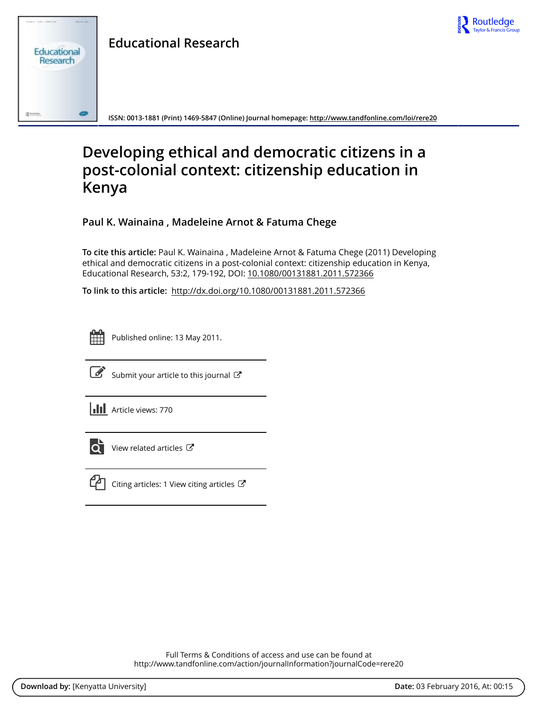



**ISSN: 0013-1881 (Print) 1469-5847 (Online) Journal homepage:<http://www.tandfonline.com/loi/rere20>**

# **Developing ethical and democratic citizens in a post-colonial context: citizenship education in Kenya**

**Paul K. Wainaina , Madeleine Arnot & Fatuma Chege**

**To cite this article:** Paul K. Wainaina , Madeleine Arnot & Fatuma Chege (2011) Developing ethical and democratic citizens in a post-colonial context: citizenship education in Kenya, Educational Research, 53:2, 179-192, DOI: [10.1080/00131881.2011.572366](http://www.tandfonline.com/action/showCitFormats?doi=10.1080/00131881.2011.572366)

**To link to this article:** <http://dx.doi.org/10.1080/00131881.2011.572366>



Published online: 13 May 2011.



 $\overline{\mathscr{L}}$  [Submit your article to this journal](http://www.tandfonline.com/action/authorSubmission?journalCode=rere20&page=instructions)  $\mathbb{F}$ 





[View related articles](http://www.tandfonline.com/doi/mlt/10.1080/00131881.2011.572366) C



[Citing articles: 1 View citing articles](http://www.tandfonline.com/doi/citedby/10.1080/00131881.2011.572366#tabModule)  $\mathbb{Z}$ 

Full Terms & Conditions of access and use can be found at <http://www.tandfonline.com/action/journalInformation?journalCode=rere20>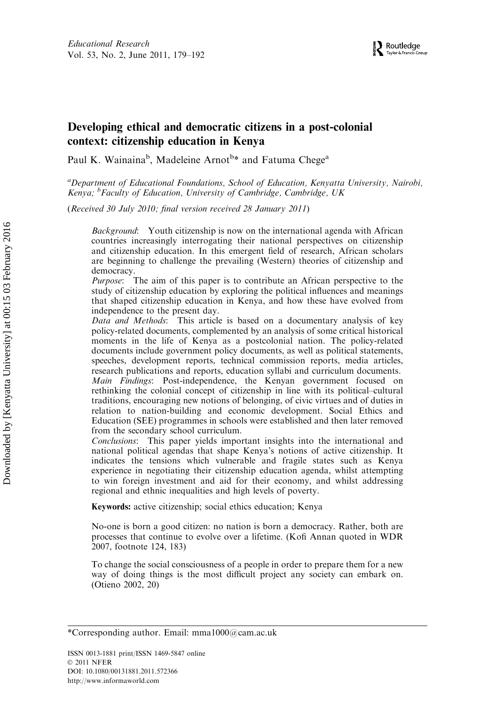# Developing ethical and democratic citizens in a post-colonial context: citizenship education in Kenya

Paul K. Wainaina<sup>b</sup>, Madeleine Arnot<sup>b\*</sup> and Fatuma Chege<sup>a</sup>

a<br>Department of Educational Foundations, School of Education, Kenyatta University, Nairobi, Kenya; <sup>b</sup>Faculty of Education, University of Cambridge, Cambridge, UK

(Received 30 July 2010; final version received 28 January 2011)

Background: Youth citizenship is now on the international agenda with African countries increasingly interrogating their national perspectives on citizenship and citizenship education. In this emergent field of research, African scholars are beginning to challenge the prevailing (Western) theories of citizenship and democracy.

Purpose: The aim of this paper is to contribute an African perspective to the study of citizenship education by exploring the political influences and meanings that shaped citizenship education in Kenya, and how these have evolved from independence to the present day.

Data and Methods: This article is based on a documentary analysis of key policy-related documents, complemented by an analysis of some critical historical moments in the life of Kenya as a postcolonial nation. The policy-related documents include government policy documents, as well as political statements, speeches, development reports, technical commission reports, media articles, research publications and reports, education syllabi and curriculum documents. Main Findings: Post-independence, the Kenyan government focused on rethinking the colonial concept of citizenship in line with its political–cultural

traditions, encouraging new notions of belonging, of civic virtues and of duties in relation to nation-building and economic development. Social Ethics and Education (SEE) programmes in schools were established and then later removed from the secondary school curriculum.

Conclusions: This paper yields important insights into the international and national political agendas that shape Kenya's notions of active citizenship. It indicates the tensions which vulnerable and fragile states such as Kenya experience in negotiating their citizenship education agenda, whilst attempting to win foreign investment and aid for their economy, and whilst addressing regional and ethnic inequalities and high levels of poverty.

Keywords: active citizenship; social ethics education; Kenya

No-one is born a good citizen: no nation is born a democracy. Rather, both are processes that continue to evolve over a lifetime. (Kofi Annan quoted in WDR 2007, footnote 124, 183)

To change the social consciousness of a people in order to prepare them for a new way of doing things is the most difficult project any society can embark on. (Otieno 2002, 20)

<sup>\*</sup>Corresponding author. Email: mma1000@cam.ac.uk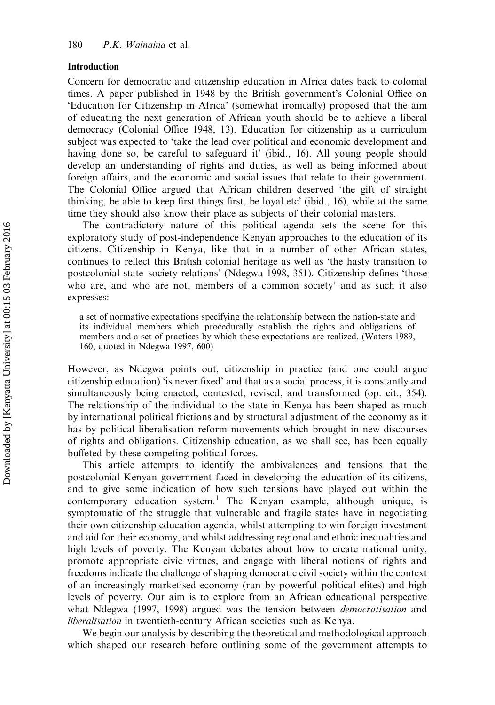# Introduction

Concern for democratic and citizenship education in Africa dates back to colonial times. A paper published in 1948 by the British government's Colonial Office on 'Education for Citizenship in Africa' (somewhat ironically) proposed that the aim of educating the next generation of African youth should be to achieve a liberal democracy (Colonial Office 1948, 13). Education for citizenship as a curriculum subject was expected to 'take the lead over political and economic development and having done so, be careful to safeguard it' (ibid., 16). All young people should develop an understanding of rights and duties, as well as being informed about foreign affairs, and the economic and social issues that relate to their government. The Colonial Office argued that African children deserved 'the gift of straight thinking, be able to keep first things first, be loyal etc' (ibid., 16), while at the same time they should also know their place as subjects of their colonial masters.

The contradictory nature of this political agenda sets the scene for this exploratory study of post-independence Kenyan approaches to the education of its citizens. Citizenship in Kenya, like that in a number of other African states, continues to reflect this British colonial heritage as well as 'the hasty transition to postcolonial state–society relations' (Ndegwa 1998, 351). Citizenship defines 'those who are, and who are not, members of a common society' and as such it also expresses:

a set of normative expectations specifying the relationship between the nation-state and its individual members which procedurally establish the rights and obligations of members and a set of practices by which these expectations are realized. (Waters 1989, 160, quoted in Ndegwa 1997, 600)

However, as Ndegwa points out, citizenship in practice (and one could argue citizenship education) 'is never fixed' and that as a social process, it is constantly and simultaneously being enacted, contested, revised, and transformed (op. cit., 354). The relationship of the individual to the state in Kenya has been shaped as much by international political frictions and by structural adjustment of the economy as it has by political liberalisation reform movements which brought in new discourses of rights and obligations. Citizenship education, as we shall see, has been equally buffeted by these competing political forces.

This article attempts to identify the ambivalences and tensions that the postcolonial Kenyan government faced in developing the education of its citizens, and to give some indication of how such tensions have played out within the contemporary education system.<sup>1</sup> The Kenyan example, although unique, is symptomatic of the struggle that vulnerable and fragile states have in negotiating their own citizenship education agenda, whilst attempting to win foreign investment and aid for their economy, and whilst addressing regional and ethnic inequalities and high levels of poverty. The Kenyan debates about how to create national unity, promote appropriate civic virtues, and engage with liberal notions of rights and freedoms indicate the challenge of shaping democratic civil society within the context of an increasingly marketised economy (run by powerful political elites) and high levels of poverty. Our aim is to explore from an African educational perspective what Ndegwa (1997, 1998) argued was the tension between democratisation and liberalisation in twentieth-century African societies such as Kenya.

We begin our analysis by describing the theoretical and methodological approach which shaped our research before outlining some of the government attempts to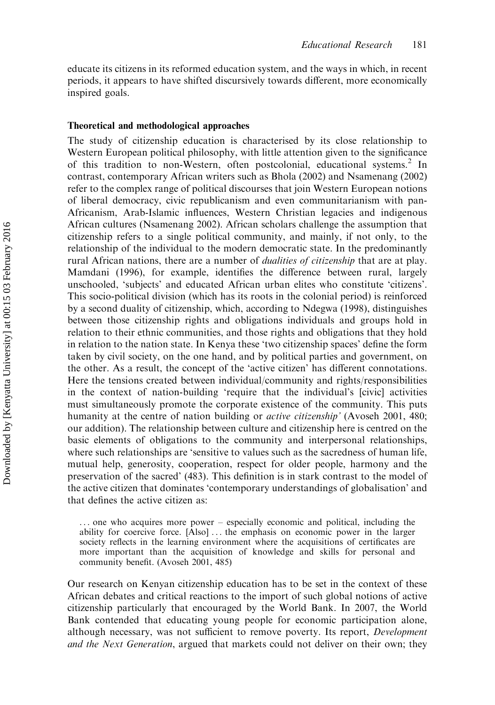educate its citizens in its reformed education system, and the ways in which, in recent periods, it appears to have shifted discursively towards different, more economically inspired goals.

### Theoretical and methodological approaches

The study of citizenship education is characterised by its close relationship to Western European political philosophy, with little attention given to the significance of this tradition to non-Western, often postcolonial, educational systems.<sup>2</sup> In contrast, contemporary African writers such as Bhola (2002) and Nsamenang (2002) refer to the complex range of political discourses that join Western European notions of liberal democracy, civic republicanism and even communitarianism with pan-Africanism, Arab-Islamic influences, Western Christian legacies and indigenous African cultures (Nsamenang 2002). African scholars challenge the assumption that citizenship refers to a single political community, and mainly, if not only, to the relationship of the individual to the modern democratic state. In the predominantly rural African nations, there are a number of *dualities of citizenship* that are at play. Mamdani (1996), for example, identifies the difference between rural, largely unschooled, 'subjects' and educated African urban elites who constitute 'citizens'. This socio-political division (which has its roots in the colonial period) is reinforced by a second duality of citizenship, which, according to Ndegwa (1998), distinguishes between those citizenship rights and obligations individuals and groups hold in relation to their ethnic communities, and those rights and obligations that they hold in relation to the nation state. In Kenya these 'two citizenship spaces' define the form taken by civil society, on the one hand, and by political parties and government, on the other. As a result, the concept of the 'active citizen' has different connotations. Here the tensions created between individual/community and rights/responsibilities in the context of nation-building 'require that the individual's [civic] activities must simultaneously promote the corporate existence of the community. This puts humanity at the centre of nation building or *active citizenship'* (Avoseh 2001, 480; our addition). The relationship between culture and citizenship here is centred on the basic elements of obligations to the community and interpersonal relationships, where such relationships are 'sensitive to values such as the sacredness of human life, mutual help, generosity, cooperation, respect for older people, harmony and the preservation of the sacred' (483). This definition is in stark contrast to the model of the active citizen that dominates 'contemporary understandings of globalisation' and that defines the active citizen as:

. . . one who acquires more power – especially economic and political, including the ability for coercive force. [Also] ... the emphasis on economic power in the larger society reflects in the learning environment where the acquisitions of certificates are more important than the acquisition of knowledge and skills for personal and community benefit. (Avoseh 2001, 485)

Our research on Kenyan citizenship education has to be set in the context of these African debates and critical reactions to the import of such global notions of active citizenship particularly that encouraged by the World Bank. In 2007, the World Bank contended that educating young people for economic participation alone, although necessary, was not sufficient to remove poverty. Its report, Development and the Next Generation, argued that markets could not deliver on their own; they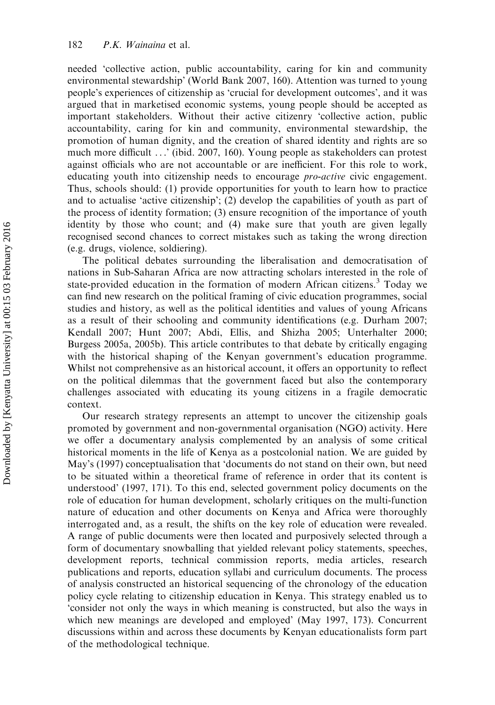needed 'collective action, public accountability, caring for kin and community environmental stewardship' (World Bank 2007, 160). Attention was turned to young people's experiences of citizenship as 'crucial for development outcomes', and it was argued that in marketised economic systems, young people should be accepted as important stakeholders. Without their active citizenry 'collective action, public accountability, caring for kin and community, environmental stewardship, the promotion of human dignity, and the creation of shared identity and rights are so much more difficult . . .' (ibid. 2007, 160). Young people as stakeholders can protest against officials who are not accountable or are inefficient. For this role to work, educating youth into citizenship needs to encourage *pro-active* civic engagement. Thus, schools should: (1) provide opportunities for youth to learn how to practice and to actualise 'active citizenship'; (2) develop the capabilities of youth as part of the process of identity formation; (3) ensure recognition of the importance of youth identity by those who count; and (4) make sure that youth are given legally recognised second chances to correct mistakes such as taking the wrong direction (e.g. drugs, violence, soldiering).

The political debates surrounding the liberalisation and democratisation of nations in Sub-Saharan Africa are now attracting scholars interested in the role of state-provided education in the formation of modern African citizens.<sup>3</sup> Today we can find new research on the political framing of civic education programmes, social studies and history, as well as the political identities and values of young Africans as a result of their schooling and community identifications (e.g. Durham 2007; Kendall 2007; Hunt 2007; Abdi, Ellis, and Shizha 2005; Unterhalter 2000; Burgess 2005a, 2005b). This article contributes to that debate by critically engaging with the historical shaping of the Kenyan government's education programme. Whilst not comprehensive as an historical account, it offers an opportunity to reflect on the political dilemmas that the government faced but also the contemporary challenges associated with educating its young citizens in a fragile democratic context.

Our research strategy represents an attempt to uncover the citizenship goals promoted by government and non-governmental organisation (NGO) activity. Here we offer a documentary analysis complemented by an analysis of some critical historical moments in the life of Kenya as a postcolonial nation. We are guided by May's (1997) conceptualisation that 'documents do not stand on their own, but need to be situated within a theoretical frame of reference in order that its content is understood' (1997, 171). To this end, selected government policy documents on the role of education for human development, scholarly critiques on the multi-function nature of education and other documents on Kenya and Africa were thoroughly interrogated and, as a result, the shifts on the key role of education were revealed. A range of public documents were then located and purposively selected through a form of documentary snowballing that yielded relevant policy statements, speeches, development reports, technical commission reports, media articles, research publications and reports, education syllabi and curriculum documents. The process of analysis constructed an historical sequencing of the chronology of the education policy cycle relating to citizenship education in Kenya. This strategy enabled us to 'consider not only the ways in which meaning is constructed, but also the ways in which new meanings are developed and employed' (May 1997, 173). Concurrent discussions within and across these documents by Kenyan educationalists form part of the methodological technique.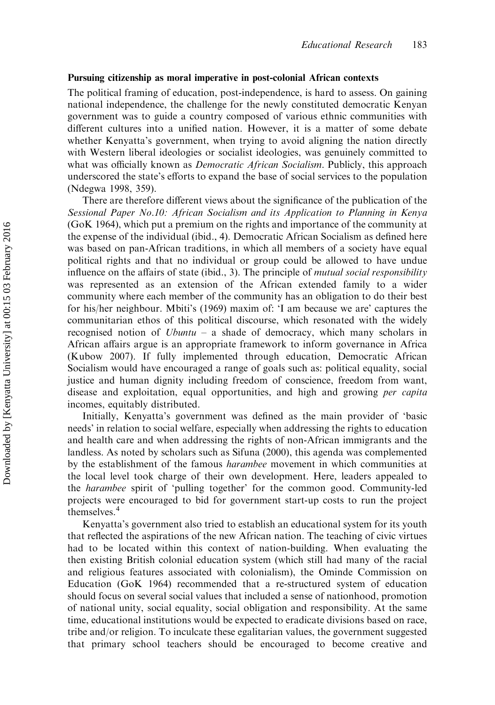# Pursuing citizenship as moral imperative in post-colonial African contexts

The political framing of education, post-independence, is hard to assess. On gaining national independence, the challenge for the newly constituted democratic Kenyan government was to guide a country composed of various ethnic communities with different cultures into a unified nation. However, it is a matter of some debate whether Kenyatta's government, when trying to avoid aligning the nation directly with Western liberal ideologies or socialist ideologies, was genuinely committed to what was officially known as *Democratic African Socialism*. Publicly, this approach underscored the state's efforts to expand the base of social services to the population (Ndegwa 1998, 359).

There are therefore different views about the significance of the publication of the Sessional Paper No.10: African Socialism and its Application to Planning in Kenya (GoK 1964), which put a premium on the rights and importance of the community at the expense of the individual (ibid., 4). Democratic African Socialism as defined here was based on pan-African traditions, in which all members of a society have equal political rights and that no individual or group could be allowed to have undue influence on the affairs of state (ibid., 3). The principle of *mutual social responsibility* was represented as an extension of the African extended family to a wider community where each member of the community has an obligation to do their best for his/her neighbour. Mbiti's (1969) maxim of: 'I am because we are' captures the communitarian ethos of this political discourse, which resonated with the widely recognised notion of  $Ubuntu - a$  shade of democracy, which many scholars in African affairs argue is an appropriate framework to inform governance in Africa (Kubow 2007). If fully implemented through education, Democratic African Socialism would have encouraged a range of goals such as: political equality, social justice and human dignity including freedom of conscience, freedom from want, disease and exploitation, equal opportunities, and high and growing *per capita* incomes, equitably distributed.

Initially, Kenyatta's government was defined as the main provider of 'basic needs' in relation to social welfare, especially when addressing the rights to education and health care and when addressing the rights of non-African immigrants and the landless. As noted by scholars such as Sifuna (2000), this agenda was complemented by the establishment of the famous *harambee* movement in which communities at the local level took charge of their own development. Here, leaders appealed to the harambee spirit of 'pulling together' for the common good. Community-led projects were encouraged to bid for government start-up costs to run the project themselves.<sup>4</sup>

Kenyatta's government also tried to establish an educational system for its youth that reflected the aspirations of the new African nation. The teaching of civic virtues had to be located within this context of nation-building. When evaluating the then existing British colonial education system (which still had many of the racial and religious features associated with colonialism), the Ominde Commission on Education (GoK 1964) recommended that a re-structured system of education should focus on several social values that included a sense of nationhood, promotion of national unity, social equality, social obligation and responsibility. At the same time, educational institutions would be expected to eradicate divisions based on race, tribe and/or religion. To inculcate these egalitarian values, the government suggested that primary school teachers should be encouraged to become creative and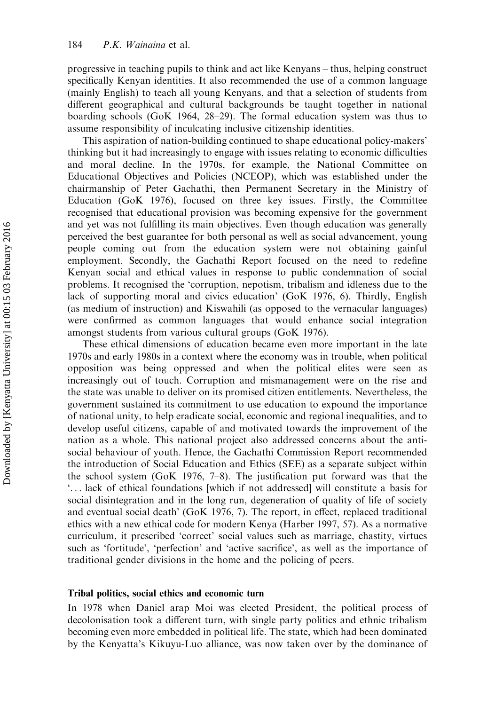progressive in teaching pupils to think and act like Kenyans – thus, helping construct specifically Kenyan identities. It also recommended the use of a common language (mainly English) to teach all young Kenyans, and that a selection of students from different geographical and cultural backgrounds be taught together in national boarding schools (GoK 1964, 28–29). The formal education system was thus to assume responsibility of inculcating inclusive citizenship identities.

This aspiration of nation-building continued to shape educational policy-makers' thinking but it had increasingly to engage with issues relating to economic difficulties and moral decline. In the 1970s, for example, the National Committee on Educational Objectives and Policies (NCEOP), which was established under the chairmanship of Peter Gachathi, then Permanent Secretary in the Ministry of Education (GoK 1976), focused on three key issues. Firstly, the Committee recognised that educational provision was becoming expensive for the government and yet was not fulfilling its main objectives. Even though education was generally perceived the best guarantee for both personal as well as social advancement, young people coming out from the education system were not obtaining gainful employment. Secondly, the Gachathi Report focused on the need to redefine Kenyan social and ethical values in response to public condemnation of social problems. It recognised the 'corruption, nepotism, tribalism and idleness due to the lack of supporting moral and civics education' (GoK 1976, 6). Thirdly, English (as medium of instruction) and Kiswahili (as opposed to the vernacular languages) were confirmed as common languages that would enhance social integration amongst students from various cultural groups (GoK 1976).

These ethical dimensions of education became even more important in the late 1970s and early 1980s in a context where the economy was in trouble, when political opposition was being oppressed and when the political elites were seen as increasingly out of touch. Corruption and mismanagement were on the rise and the state was unable to deliver on its promised citizen entitlements. Nevertheless, the government sustained its commitment to use education to expound the importance of national unity, to help eradicate social, economic and regional inequalities, and to develop useful citizens, capable of and motivated towards the improvement of the nation as a whole. This national project also addressed concerns about the antisocial behaviour of youth. Hence, the Gachathi Commission Report recommended the introduction of Social Education and Ethics (SEE) as a separate subject within the school system (GoK 1976, 7–8). The justification put forward was that the '. . . lack of ethical foundations [which if not addressed] will constitute a basis for social disintegration and in the long run, degeneration of quality of life of society and eventual social death' (GoK 1976, 7). The report, in effect, replaced traditional ethics with a new ethical code for modern Kenya (Harber 1997, 57). As a normative curriculum, it prescribed 'correct' social values such as marriage, chastity, virtues such as 'fortitude', 'perfection' and 'active sacrifice', as well as the importance of traditional gender divisions in the home and the policing of peers.

#### Tribal politics, social ethics and economic turn

In 1978 when Daniel arap Moi was elected President, the political process of decolonisation took a different turn, with single party politics and ethnic tribalism becoming even more embedded in political life. The state, which had been dominated by the Kenyatta's Kikuyu-Luo alliance, was now taken over by the dominance of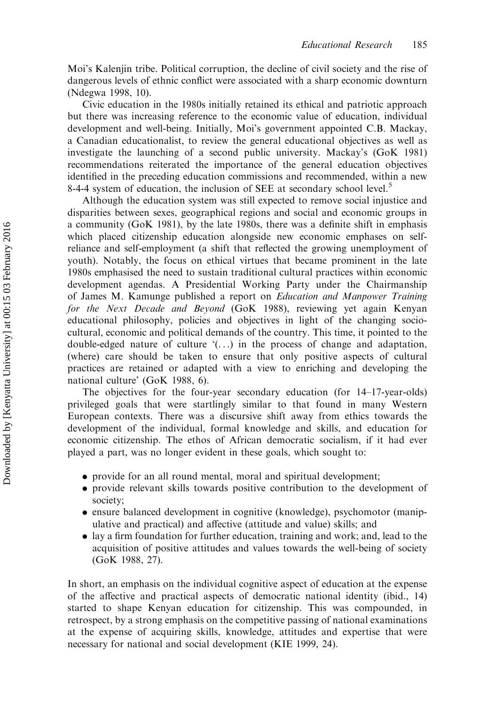Moi's Kalenjin tribe. Political corruption, the decline of civil society and the rise of dangerous levels of ethnic conflict were associated with a sharp economic downturn (Ndegwa 1998, 10).

Civic education in the 1980s initially retained its ethical and patriotic approach but there was increasing reference to the economic value of education, individual development and well-being. Initially, Moi's government appointed C.B. Mackay, a Canadian educationalist, to review the general educational objectives as well as investigate the launching of a second public university. Mackay's (GoK 1981) recommendations reiterated the importance of the general education objectives identified in the preceding education commissions and recommended, within a new 8-4-4 system of education, the inclusion of SEE at secondary school level.<sup>5</sup>

Although the education system was still expected to remove social injustice and disparities between sexes, geographical regions and social and economic groups in a community (GoK 1981), by the late 1980s, there was a definite shift in emphasis which placed citizenship education alongside new economic emphases on selfreliance and self-employment (a shift that reflected the growing unemployment of youth). Notably, the focus on ethical virtues that became prominent in the late 1980s emphasised the need to sustain traditional cultural practices within economic development agendas. A Presidential Working Party under the Chairmanship of James M. Kamunge published a report on Education and Manpower Training for the Next Decade and Beyond (GoK 1988), reviewing yet again Kenyan educational philosophy, policies and objectives in light of the changing sociocultural, economic and political demands of the country. This time, it pointed to the double-edged nature of culture  $($ ...) in the process of change and adaptation, (where) care should be taken to ensure that only positive aspects of cultural practices are retained or adapted with a view to enriching and developing the national culture' (GoK 1988, 6).

The objectives for the four-year secondary education (for 14–17-year-olds) privileged goals that were startlingly similar to that found in many Western European contexts. There was a discursive shift away from ethics towards the development of the individual, formal knowledge and skills, and education for economic citizenship. The ethos of African democratic socialism, if it had ever played a part, was no longer evident in these goals, which sought to:

- . provide for an all round mental, moral and spiritual development;
- . provide relevant skills towards positive contribution to the development of society;
- . ensure balanced development in cognitive (knowledge), psychomotor (manipulative and practical) and affective (attitude and value) skills; and
- . lay a firm foundation for further education, training and work; and, lead to the acquisition of positive attitudes and values towards the well-being of society (GoK 1988, 27).

In short, an emphasis on the individual cognitive aspect of education at the expense of the affective and practical aspects of democratic national identity (ibid., 14) started to shape Kenyan education for citizenship. This was compounded, in retrospect, by a strong emphasis on the competitive passing of national examinations at the expense of acquiring skills, knowledge, attitudes and expertise that were necessary for national and social development (KIE 1999, 24).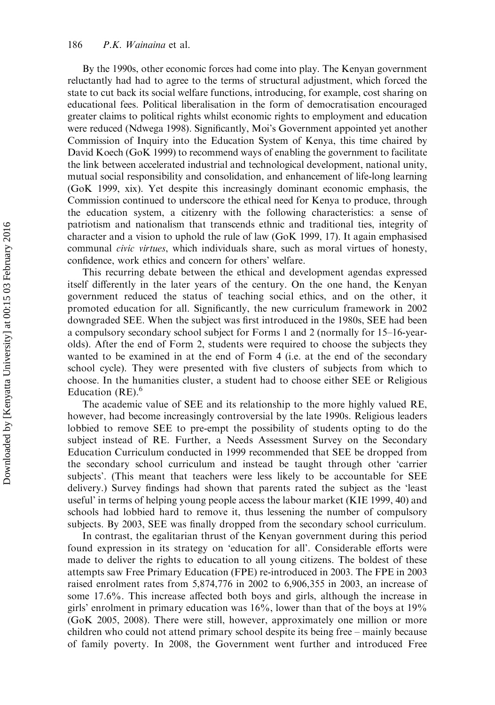By the 1990s, other economic forces had come into play. The Kenyan government reluctantly had had to agree to the terms of structural adjustment, which forced the state to cut back its social welfare functions, introducing, for example, cost sharing on educational fees. Political liberalisation in the form of democratisation encouraged greater claims to political rights whilst economic rights to employment and education were reduced (Ndwega 1998). Significantly, Moi's Government appointed yet another Commission of Inquiry into the Education System of Kenya, this time chaired by David Koech (GoK 1999) to recommend ways of enabling the government to facilitate the link between accelerated industrial and technological development, national unity, mutual social responsibility and consolidation, and enhancement of life-long learning (GoK 1999, xix). Yet despite this increasingly dominant economic emphasis, the Commission continued to underscore the ethical need for Kenya to produce, through the education system, a citizenry with the following characteristics: a sense of patriotism and nationalism that transcends ethnic and traditional ties, integrity of character and a vision to uphold the rule of law (GoK 1999, 17). It again emphasised communal civic virtues, which individuals share, such as moral virtues of honesty, confidence, work ethics and concern for others' welfare.

This recurring debate between the ethical and development agendas expressed itself differently in the later years of the century. On the one hand, the Kenyan government reduced the status of teaching social ethics, and on the other, it promoted education for all. Significantly, the new curriculum framework in 2002 downgraded SEE. When the subject was first introduced in the 1980s, SEE had been a compulsory secondary school subject for Forms 1 and 2 (normally for 15–16-yearolds). After the end of Form 2, students were required to choose the subjects they wanted to be examined in at the end of Form 4 (i.e. at the end of the secondary school cycle). They were presented with five clusters of subjects from which to choose. In the humanities cluster, a student had to choose either SEE or Religious Education  $(RE)$ .<sup>6</sup>

The academic value of SEE and its relationship to the more highly valued RE, however, had become increasingly controversial by the late 1990s. Religious leaders lobbied to remove SEE to pre-empt the possibility of students opting to do the subject instead of RE. Further, a Needs Assessment Survey on the Secondary Education Curriculum conducted in 1999 recommended that SEE be dropped from the secondary school curriculum and instead be taught through other 'carrier subjects'. (This meant that teachers were less likely to be accountable for SEE delivery.) Survey findings had shown that parents rated the subject as the 'least useful' in terms of helping young people access the labour market (KIE 1999, 40) and schools had lobbied hard to remove it, thus lessening the number of compulsory subjects. By 2003, SEE was finally dropped from the secondary school curriculum.

In contrast, the egalitarian thrust of the Kenyan government during this period found expression in its strategy on 'education for all'. Considerable efforts were made to deliver the rights to education to all young citizens. The boldest of these attempts saw Free Primary Education (FPE) re-introduced in 2003. The FPE in 2003 raised enrolment rates from 5,874,776 in 2002 to 6,906,355 in 2003, an increase of some 17.6%. This increase affected both boys and girls, although the increase in girls' enrolment in primary education was 16%, lower than that of the boys at 19% (GoK 2005, 2008). There were still, however, approximately one million or more children who could not attend primary school despite its being free – mainly because of family poverty. In 2008, the Government went further and introduced Free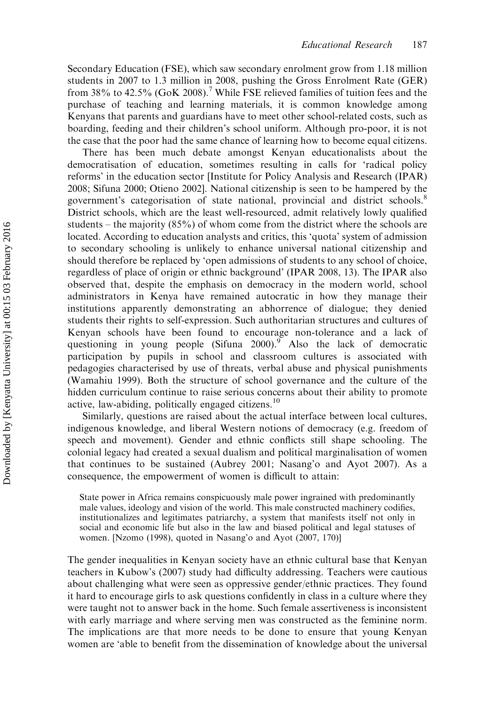Secondary Education (FSE), which saw secondary enrolment grow from 1.18 million students in 2007 to 1.3 million in 2008, pushing the Gross Enrolment Rate (GER) from  $38\%$  to  $42.5\%$  (GoK 2008).<sup>7</sup> While FSE relieved families of tuition fees and the purchase of teaching and learning materials, it is common knowledge among Kenyans that parents and guardians have to meet other school-related costs, such as boarding, feeding and their children's school uniform. Although pro-poor, it is not the case that the poor had the same chance of learning how to become equal citizens.

There has been much debate amongst Kenyan educationalists about the democratisation of education, sometimes resulting in calls for 'radical policy reforms' in the education sector [Institute for Policy Analysis and Research (IPAR) 2008; Sifuna 2000; Otieno 2002]. National citizenship is seen to be hampered by the government's categorisation of state national, provincial and district schools.<sup>8</sup> District schools, which are the least well-resourced, admit relatively lowly qualified students – the majority (85%) of whom come from the district where the schools are located. According to education analysts and critics, this 'quota' system of admission to secondary schooling is unlikely to enhance universal national citizenship and should therefore be replaced by 'open admissions of students to any school of choice, regardless of place of origin or ethnic background' (IPAR 2008, 13). The IPAR also observed that, despite the emphasis on democracy in the modern world, school administrators in Kenya have remained autocratic in how they manage their institutions apparently demonstrating an abhorrence of dialogue; they denied students their rights to self-expression. Such authoritarian structures and cultures of Kenyan schools have been found to encourage non-tolerance and a lack of questioning in young people (Sifuna  $2000$ ).<sup>9</sup> Also the lack of democratic participation by pupils in school and classroom cultures is associated with pedagogies characterised by use of threats, verbal abuse and physical punishments (Wamahiu 1999). Both the structure of school governance and the culture of the hidden curriculum continue to raise serious concerns about their ability to promote active, law-abiding, politically engaged citizens.<sup>10</sup>

Similarly, questions are raised about the actual interface between local cultures, indigenous knowledge, and liberal Western notions of democracy (e.g. freedom of speech and movement). Gender and ethnic conflicts still shape schooling. The colonial legacy had created a sexual dualism and political marginalisation of women that continues to be sustained (Aubrey 2001; Nasang'o and Ayot 2007). As a consequence, the empowerment of women is difficult to attain:

The gender inequalities in Kenyan society have an ethnic cultural base that Kenyan teachers in Kubow's (2007) study had difficulty addressing. Teachers were cautious about challenging what were seen as oppressive gender/ethnic practices. They found it hard to encourage girls to ask questions confidently in class in a culture where they were taught not to answer back in the home. Such female assertiveness is inconsistent with early marriage and where serving men was constructed as the feminine norm. The implications are that more needs to be done to ensure that young Kenyan women are 'able to benefit from the dissemination of knowledge about the universal

State power in Africa remains conspicuously male power ingrained with predominantly male values, ideology and vision of the world. This male constructed machinery codifies, institutionalizes and legitimates patriarchy, a system that manifests itself not only in social and economic life but also in the law and biased political and legal statuses of women. [Nzomo (1998), quoted in Nasang'o and Ayot (2007, 170)]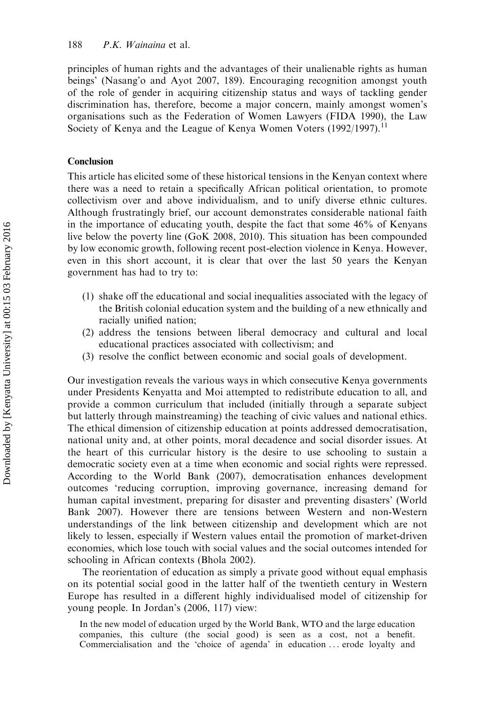principles of human rights and the advantages of their unalienable rights as human beings' (Nasang'o and Ayot 2007, 189). Encouraging recognition amongst youth of the role of gender in acquiring citizenship status and ways of tackling gender discrimination has, therefore, become a major concern, mainly amongst women's organisations such as the Federation of Women Lawyers (FIDA 1990), the Law Society of Kenya and the League of Kenya Women Voters  $(1992/1997)$ .<sup>11</sup>

# Conclusion

This article has elicited some of these historical tensions in the Kenyan context where there was a need to retain a specifically African political orientation, to promote collectivism over and above individualism, and to unify diverse ethnic cultures. Although frustratingly brief, our account demonstrates considerable national faith in the importance of educating youth, despite the fact that some 46% of Kenyans live below the poverty line (GoK 2008, 2010). This situation has been compounded by low economic growth, following recent post-election violence in Kenya. However, even in this short account, it is clear that over the last 50 years the Kenyan government has had to try to:

- (1) shake off the educational and social inequalities associated with the legacy of the British colonial education system and the building of a new ethnically and racially unified nation;
- (2) address the tensions between liberal democracy and cultural and local educational practices associated with collectivism; and
- (3) resolve the conflict between economic and social goals of development.

Our investigation reveals the various ways in which consecutive Kenya governments under Presidents Kenyatta and Moi attempted to redistribute education to all, and provide a common curriculum that included (initially through a separate subject but latterly through mainstreaming) the teaching of civic values and national ethics. The ethical dimension of citizenship education at points addressed democratisation, national unity and, at other points, moral decadence and social disorder issues. At the heart of this curricular history is the desire to use schooling to sustain a democratic society even at a time when economic and social rights were repressed. According to the World Bank (2007), democratisation enhances development outcomes 'reducing corruption, improving governance, increasing demand for human capital investment, preparing for disaster and preventing disasters' (World Bank 2007). However there are tensions between Western and non-Western understandings of the link between citizenship and development which are not likely to lessen, especially if Western values entail the promotion of market-driven economies, which lose touch with social values and the social outcomes intended for schooling in African contexts (Bhola 2002).

The reorientation of education as simply a private good without equal emphasis on its potential social good in the latter half of the twentieth century in Western Europe has resulted in a different highly individualised model of citizenship for young people. In Jordan's (2006, 117) view:

In the new model of education urged by the World Bank, WTO and the large education companies, this culture (the social good) is seen as a cost, not a benefit. Commercialisation and the 'choice of agenda' in education ... erode loyalty and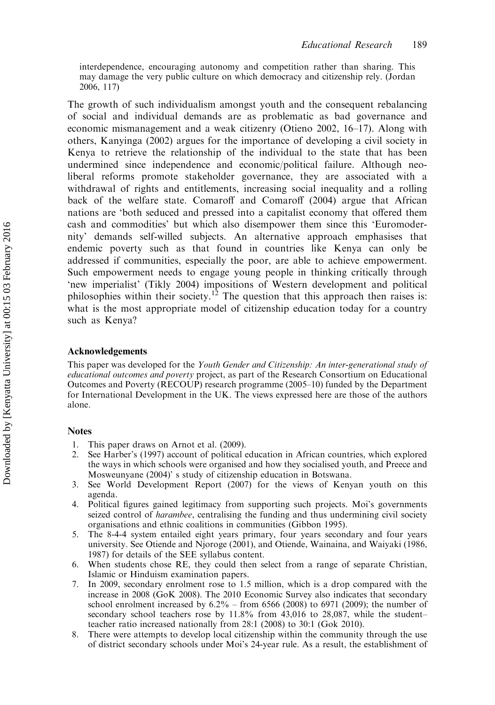interdependence, encouraging autonomy and competition rather than sharing. This may damage the very public culture on which democracy and citizenship rely. (Jordan 2006, 117)

The growth of such individualism amongst youth and the consequent rebalancing of social and individual demands are as problematic as bad governance and economic mismanagement and a weak citizenry (Otieno 2002, 16–17). Along with others, Kanyinga (2002) argues for the importance of developing a civil society in Kenya to retrieve the relationship of the individual to the state that has been undermined since independence and economic/political failure. Although neoliberal reforms promote stakeholder governance, they are associated with a withdrawal of rights and entitlements, increasing social inequality and a rolling back of the welfare state. Comaroff and Comaroff (2004) argue that African nations are 'both seduced and pressed into a capitalist economy that offered them cash and commodities' but which also disempower them since this 'Euromodernity' demands self-willed subjects. An alternative approach emphasises that endemic poverty such as that found in countries like Kenya can only be addressed if communities, especially the poor, are able to achieve empowerment. Such empowerment needs to engage young people in thinking critically through 'new imperialist' (Tikly 2004) impositions of Western development and political philosophies within their society.<sup>12</sup> The question that this approach then raises is: what is the most appropriate model of citizenship education today for a country such as Kenya?

#### Acknowledgements

This paper was developed for the Youth Gender and Citizenship: An inter-generational study of educational outcomes and poverty project, as part of the Research Consortium on Educational Outcomes and Poverty (RECOUP) research programme (2005–10) funded by the Department for International Development in the UK. The views expressed here are those of the authors alone.

#### **Notes**

- 1. This paper draws on Arnot et al. (2009).
- 2. See Harber's (1997) account of political education in African countries, which explored the ways in which schools were organised and how they socialised youth, and Preece and Mosweunyane (2004)' s study of citizenship education in Botswana.
- 3. See World Development Report (2007) for the views of Kenyan youth on this agenda.
- 4. Political figures gained legitimacy from supporting such projects. Moi's governments seized control of *harambee*, centralising the funding and thus undermining civil society organisations and ethnic coalitions in communities (Gibbon 1995).
- 5. The 8-4-4 system entailed eight years primary, four years secondary and four years university. See Otiende and Njoroge (2001), and Otiende, Wainaina, and Waiyaki (1986, 1987) for details of the SEE syllabus content.
- 6. When students chose RE, they could then select from a range of separate Christian, Islamic or Hinduism examination papers.
- 7. In 2009, secondary enrolment rose to 1.5 million, which is a drop compared with the increase in 2008 (GoK 2008). The 2010 Economic Survey also indicates that secondary school enrolment increased by  $6.2\%$  – from 6566 (2008) to 6971 (2009); the number of secondary school teachers rose by 11.8% from 43,016 to 28,087, while the student– teacher ratio increased nationally from 28:1 (2008) to 30:1 (Gok 2010).
- There were attempts to develop local citizenship within the community through the use of district secondary schools under Moi's 24-year rule. As a result, the establishment of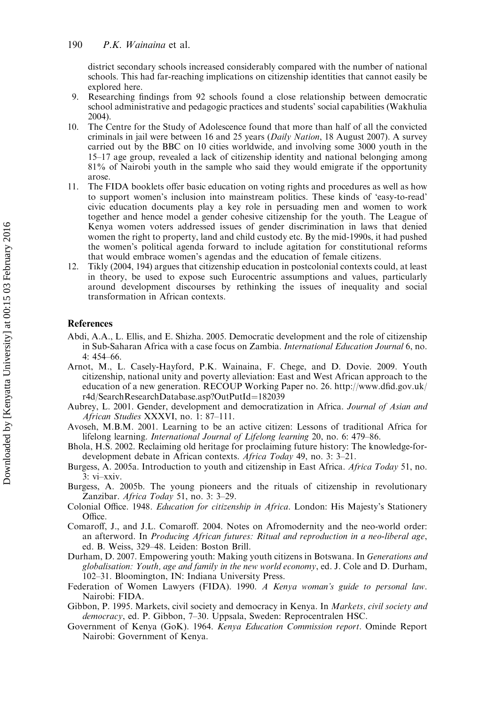district secondary schools increased considerably compared with the number of national schools. This had far-reaching implications on citizenship identities that cannot easily be explored here.

- 9. Researching findings from 92 schools found a close relationship between democratic school administrative and pedagogic practices and students' social capabilities (Wakhulia 2004).
- 10. The Centre for the Study of Adolescence found that more than half of all the convicted criminals in jail were between 16 and 25 years (Daily Nation, 18 August 2007). A survey carried out by the BBC on 10 cities worldwide, and involving some 3000 youth in the 15–17 age group, revealed a lack of citizenship identity and national belonging among 81% of Nairobi youth in the sample who said they would emigrate if the opportunity arose.
- 11. The FIDA booklets offer basic education on voting rights and procedures as well as how to support women's inclusion into mainstream politics. These kinds of 'easy-to-read' civic education documents play a key role in persuading men and women to work together and hence model a gender cohesive citizenship for the youth. The League of Kenya women voters addressed issues of gender discrimination in laws that denied women the right to property, land and child custody etc. By the mid-1990s, it had pushed the women's political agenda forward to include agitation for constitutional reforms that would embrace women's agendas and the education of female citizens.
- 12. Tikly (2004, 194) argues that citizenship education in postcolonial contexts could, at least in theory, be used to expose such Eurocentric assumptions and values, particularly around development discourses by rethinking the issues of inequality and social transformation in African contexts.

# References

- Abdi, A.A., L. Ellis, and E. Shizha. 2005. Democratic development and the role of citizenship in Sub-Saharan Africa with a case focus on Zambia. International Education Journal 6, no. 4: 454–66.
- Arnot, M., L. Casely-Hayford, P.K. Wainaina, F. Chege, and D. Dovie. 2009. Youth citizenship, national unity and poverty alleviation: East and West African approach to the education of a new generation. RECOUP Working Paper no. 26. [http://www.dfid.gov.uk/](http://www.dfid.gov.uk/r4d/SearchResearchDatabase.asp?OutPutId=182039) [r4d/SearchResearchDatabase.asp?OutPutId](http://www.dfid.gov.uk/r4d/SearchResearchDatabase.asp?OutPutId=182039)=[182039](http://www.dfid.gov.uk/r4d/SearchResearchDatabase.asp?OutPutId=182039)
- Aubrey, L. 2001. Gender, development and democratization in Africa. Journal of Asian and African Studies XXXVI, no. 1: 87-111.
- Avoseh, M.B.M. 2001. Learning to be an active citizen: Lessons of traditional Africa for lifelong learning. International Journal of Lifelong learning 20, no. 6: 479–86.
- Bhola, H.S. 2002. Reclaiming old heritage for proclaiming future history: The knowledge-fordevelopment debate in African contexts. Africa Today 49, no. 3: 3–21.
- Burgess, A. 2005a. Introduction to youth and citizenship in East Africa. Africa Today 51, no. 3: vi–xxiv.
- Burgess, A. 2005b. The young pioneers and the rituals of citizenship in revolutionary Zanzibar. Africa Today 51, no. 3: 3–29.
- Colonial Office. 1948. Education for citizenship in Africa. London: His Majesty's Stationery Office.
- Comaroff, J., and J.L. Comaroff. 2004. Notes on Afromodernity and the neo-world order: an afterword. In Producing African futures: Ritual and reproduction in a neo-liberal age, ed. B. Weiss, 329–48. Leiden: Boston Brill.
- Durham, D. 2007. Empowering youth: Making youth citizens in Botswana. In Generations and globalisation: Youth, age and family in the new world economy, ed. J. Cole and D. Durham, 102–31. Bloomington, IN: Indiana University Press.
- Federation of Women Lawyers (FIDA). 1990. A Kenya woman's guide to personal law. Nairobi: FIDA.
- Gibbon, P. 1995. Markets, civil society and democracy in Kenya. In Markets, civil society and democracy, ed. P. Gibbon, 7-30. Uppsala, Sweden: Reprocentralen HSC.
- Government of Kenya (GoK). 1964. Kenya Education Commission report. Ominde Report Nairobi: Government of Kenya.

<sup>190</sup> P.K. Wainaina et al.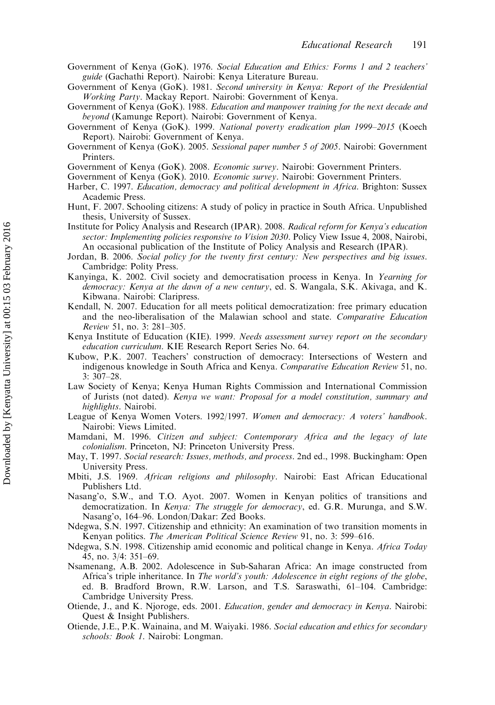- Government of Kenya (GoK). 1976. Social Education and Ethics: Forms 1 and 2 teachers' guide (Gachathi Report). Nairobi: Kenya Literature Bureau.
- Government of Kenya (GoK). 1981. Second university in Kenya: Report of the Presidential Working Party. Mackay Report. Nairobi: Government of Kenya.
- Government of Kenya (GoK). 1988. Education and manpower training for the next decade and beyond (Kamunge Report). Nairobi: Government of Kenya.
- Government of Kenya (GoK). 1999. National poverty eradication plan 1999–2015 (Koech Report). Nairobi: Government of Kenya.
- Government of Kenya (GoK). 2005. Sessional paper number 5 of 2005. Nairobi: Government Printers.

Government of Kenya (GoK). 2008. Economic survey. Nairobi: Government Printers.

Government of Kenya (GoK). 2010. Economic survey. Nairobi: Government Printers.

- Harber, C. 1997. Education, democracy and political development in Africa. Brighton: Sussex Academic Press.
- Hunt, F. 2007. Schooling citizens: A study of policy in practice in South Africa. Unpublished thesis, University of Sussex.
- Institute for Policy Analysis and Research (IPAR). 2008. Radical reform for Kenya's education sector: Implementing policies responsive to Vision 2030. Policy View Issue 4, 2008, Nairobi, An occasional publication of the Institute of Policy Analysis and Research (IPAR).
- Jordan, B. 2006. Social policy for the twenty first century: New perspectives and big issues. Cambridge: Polity Press.
- Kanyinga, K. 2002. Civil society and democratisation process in Kenya. In Yearning for democracy: Kenya at the dawn of a new century, ed. S. Wangala, S.K. Akivaga, and K. Kibwana. Nairobi: Claripress.
- Kendall, N. 2007. Education for all meets political democratization: free primary education and the neo-liberalisation of the Malawian school and state. Comparative Education Review 51, no. 3: 281–305.
- Kenya Institute of Education (KIE). 1999. Needs assessment survey report on the secondary education curriculum. KIE Research Report Series No. 64.
- Kubow, P.K. 2007. Teachers' construction of democracy: Intersections of Western and indigenous knowledge in South Africa and Kenya. Comparative Education Review 51, no. 3: 307–28.
- Law Society of Kenya; Kenya Human Rights Commission and International Commission of Jurists (not dated). Kenya we want: Proposal for a model constitution, summary and highlights. Nairobi.
- League of Kenya Women Voters. 1992/1997. Women and democracy: A voters' handbook. Nairobi: Views Limited.
- Mamdani, M. 1996. Citizen and subject: Contemporary Africa and the legacy of late colonialism. Princeton, NJ: Princeton University Press.
- May, T. 1997. Social research: Issues, methods, and process. 2nd ed., 1998. Buckingham: Open University Press.
- Mbiti, J.S. 1969. African religions and philosophy. Nairobi: East African Educational Publishers Ltd.
- Nasang'o, S.W., and T.O. Ayot. 2007. Women in Kenyan politics of transitions and democratization. In Kenya: The struggle for democracy, ed. G.R. Murunga, and S.W. Nasang'o, 164–96. London/Dakar: Zed Books.
- Ndegwa, S.N. 1997. Citizenship and ethnicity: An examination of two transition moments in Kenyan politics. The American Political Science Review 91, no. 3: 599-616.
- Ndegwa, S.N. 1998. Citizenship amid economic and political change in Kenya. Africa Today 45, no. 3/4: 351–69.
- Nsamenang, A.B. 2002. Adolescence in Sub-Saharan Africa: An image constructed from Africa's triple inheritance. In The world's youth: Adolescence in eight regions of the globe, ed. B. Bradford Brown, R.W. Larson, and T.S. Saraswathi, 61–104. Cambridge: Cambridge University Press.
- Otiende, J., and K. Njoroge, eds. 2001. Education, gender and democracy in Kenya. Nairobi: Quest & Insight Publishers.
- Otiende, J.E., P.K. Wainaina, and M. Waiyaki. 1986. Social education and ethics for secondary schools: Book 1. Nairobi: Longman.